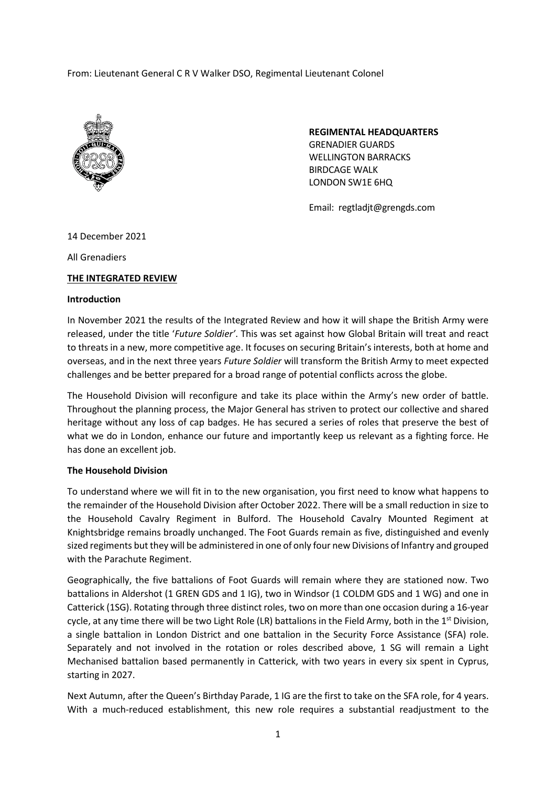From: Lieutenant General C R V Walker DSO, Regimental Lieutenant Colonel



**REGIMENTAL HEADQUARTERS** GRENADIER GUARDS WELLINGTON BARRACKS BIRDCAGE WALK LONDON SW1E 6HQ

Email: regtladjt@grengds.com

14 December 2021

All Grenadiers

# **THE INTEGRATED REVIEW**

## **Introduction**

In November 2021 the results of the Integrated Review and how it will shape the British Army were released, under the title '*Future Soldier'*. This was set against how Global Britain will treat and react to threats in a new, more competitive age. It focuses on securing Britain's interests, both at home and overseas, and in the next three years *Future Soldier* will transform the British Army to meet expected challenges and be better prepared for a broad range of potential conflicts across the globe.

The Household Division will reconfigure and take its place within the Army's new order of battle. Throughout the planning process, the Major General has striven to protect our collective and shared heritage without any loss of cap badges. He has secured a series of roles that preserve the best of what we do in London, enhance our future and importantly keep us relevant as a fighting force. He has done an excellent job.

## **The Household Division**

To understand where we will fit in to the new organisation, you first need to know what happens to the remainder of the Household Division after October 2022. There will be a small reduction in size to the Household Cavalry Regiment in Bulford. The Household Cavalry Mounted Regiment at Knightsbridge remains broadly unchanged. The Foot Guards remain as five, distinguished and evenly sized regiments but they will be administered in one of only four new Divisions of Infantry and grouped with the Parachute Regiment.

Geographically, the five battalions of Foot Guards will remain where they are stationed now. Two battalions in Aldershot (1 GREN GDS and 1 IG), two in Windsor (1 COLDM GDS and 1 WG) and one in Catterick (1SG). Rotating through three distinct roles, two on more than one occasion during a 16-year cycle, at any time there will be two Light Role (LR) battalions in the Field Army, both in the  $1<sup>st</sup>$  Division, a single battalion in London District and one battalion in the Security Force Assistance (SFA) role. Separately and not involved in the rotation or roles described above, 1 SG will remain a Light Mechanised battalion based permanently in Catterick, with two years in every six spent in Cyprus, starting in 2027.

Next Autumn, after the Queen's Birthday Parade, 1 IG are the first to take on the SFA role, for 4 years. With a much-reduced establishment, this new role requires a substantial readjustment to the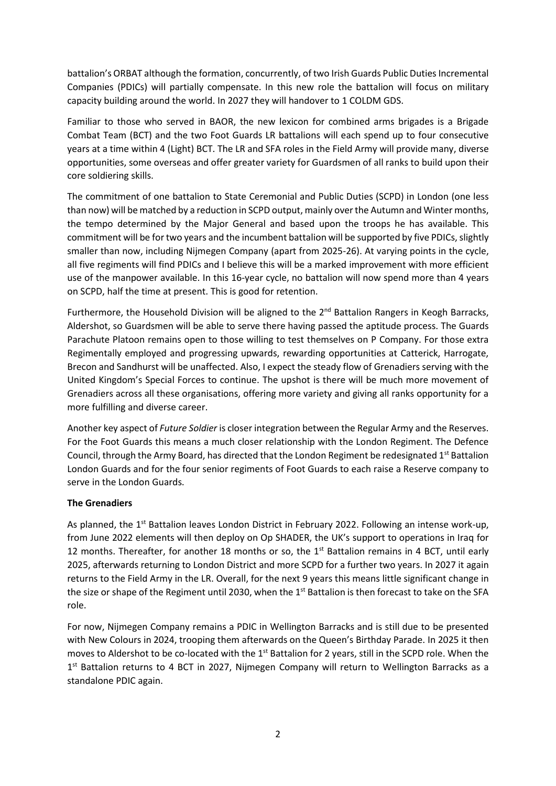battalion's ORBAT although the formation, concurrently, of two Irish Guards Public Duties Incremental Companies (PDICs) will partially compensate. In this new role the battalion will focus on military capacity building around the world. In 2027 they will handover to 1 COLDM GDS.

Familiar to those who served in BAOR, the new lexicon for combined arms brigades is a Brigade Combat Team (BCT) and the two Foot Guards LR battalions will each spend up to four consecutive years at a time within 4 (Light) BCT. The LR and SFA roles in the Field Army will provide many, diverse opportunities, some overseas and offer greater variety for Guardsmen of all ranks to build upon their core soldiering skills.

The commitment of one battalion to State Ceremonial and Public Duties (SCPD) in London (one less than now) will be matched by a reduction in SCPD output, mainly over the Autumn and Winter months, the tempo determined by the Major General and based upon the troops he has available. This commitment will be for two years and the incumbent battalion will be supported by five PDICs, slightly smaller than now, including Nijmegen Company (apart from 2025-26). At varying points in the cycle, all five regiments will find PDICs and I believe this will be a marked improvement with more efficient use of the manpower available. In this 16-year cycle, no battalion will now spend more than 4 years on SCPD, half the time at present. This is good for retention.

Furthermore, the Household Division will be aligned to the 2<sup>nd</sup> Battalion Rangers in Keogh Barracks, Aldershot, so Guardsmen will be able to serve there having passed the aptitude process. The Guards Parachute Platoon remains open to those willing to test themselves on P Company. For those extra Regimentally employed and progressing upwards, rewarding opportunities at Catterick, Harrogate, Brecon and Sandhurst will be unaffected. Also, I expect the steady flow of Grenadiers serving with the United Kingdom's Special Forces to continue. The upshot is there will be much more movement of Grenadiers across all these organisations, offering more variety and giving all ranks opportunity for a more fulfilling and diverse career.

Another key aspect of *Future Soldier* is closer integration between the Regular Army and the Reserves. For the Foot Guards this means a much closer relationship with the London Regiment. The Defence Council, through the Army Board, has directed that the London Regiment be redesignated  $1<sup>st</sup>$  Battalion London Guards and for the four senior regiments of Foot Guards to each raise a Reserve company to serve in the London Guards.

## **The Grenadiers**

As planned, the  $1^{st}$  Battalion leaves London District in February 2022. Following an intense work-up, from June 2022 elements will then deploy on Op SHADER, the UK's support to operations in Iraq for 12 months. Thereafter, for another 18 months or so, the 1<sup>st</sup> Battalion remains in 4 BCT, until early 2025, afterwards returning to London District and more SCPD for a further two years. In 2027 it again returns to the Field Army in the LR. Overall, for the next 9 years this means little significant change in the size or shape of the Regiment until 2030, when the 1<sup>st</sup> Battalion is then forecast to take on the SFA role.

For now, Nijmegen Company remains a PDIC in Wellington Barracks and is still due to be presented with New Colours in 2024, trooping them afterwards on the Queen's Birthday Parade. In 2025 it then moves to Aldershot to be co-located with the 1<sup>st</sup> Battalion for 2 years, still in the SCPD role. When the 1<sup>st</sup> Battalion returns to 4 BCT in 2027, Nijmegen Company will return to Wellington Barracks as a standalone PDIC again.